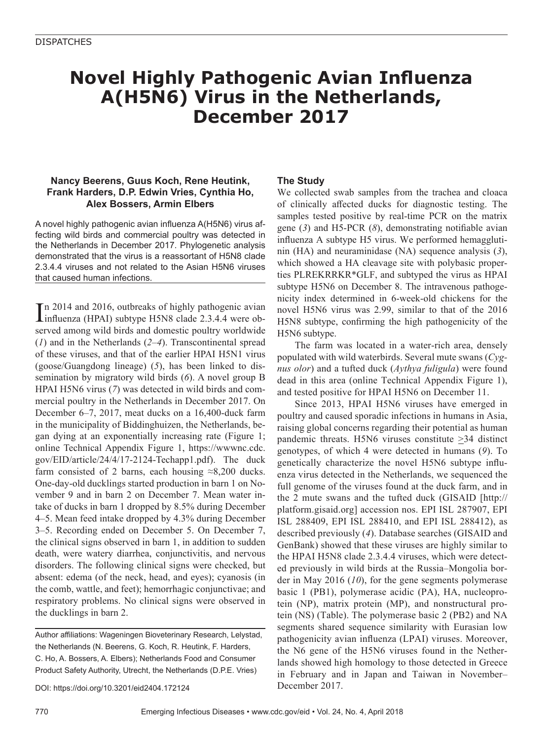### **Novel Highly Pathogenic Avian Influenza A(H5N6) Virus in the Netherlands, December 2017**

#### **Nancy Beerens, Guus Koch, Rene Heutink, Frank Harders, D.P. Edwin Vries, Cynthia Ho, Alex Bossers, Armin Elbers**

A novel highly pathogenic avian influenza A(H5N6) virus affecting wild birds and commercial poultry was detected in the Netherlands in December 2017. Phylogenetic analysis demonstrated that the virus is a reassortant of H5N8 clade 2.3.4.4 viruses and not related to the Asian H5N6 viruses that caused human infections.

In 2014 and 2016, outbreaks of highly pathogenic avian<br>influenza (HPAI) subtype H5N8 clade 2.3.4.4 were obn 2014 and 2016, outbreaks of highly pathogenic avian served among wild birds and domestic poultry worldwide (*1*) and in the Netherlands (*2–4*). Transcontinental spread of these viruses, and that of the earlier HPAI H5N1 virus (goose/Guangdong lineage) (*5*), has been linked to dissemination by migratory wild birds (*6*). A novel group B HPAI H5N6 virus (*7*) was detected in wild birds and commercial poultry in the Netherlands in December 2017. On December 6–7, 2017, meat ducks on a 16,400-duck farm in the municipality of Biddinghuizen, the Netherlands, began dying at an exponentially increasing rate (Figure 1; online Technical Appendix Figure 1, https://wwwnc.cdc. gov/EID/article/24/4/17-2124-Techapp1.pdf). The duck farm consisted of 2 barns, each housing  $\approx 8,200$  ducks. One-day-old ducklings started production in barn 1 on November 9 and in barn 2 on December 7. Mean water intake of ducks in barn 1 dropped by 8.5% during December 4–5. Mean feed intake dropped by 4.3% during December 3–5. Recording ended on December 5. On December 7, the clinical signs observed in barn 1, in addition to sudden death, were watery diarrhea, conjunctivitis, and nervous disorders. The following clinical signs were checked, but absent: edema (of the neck, head, and eyes); cyanosis (in the comb, wattle, and feet); hemorrhagic conjunctivae; and respiratory problems. No clinical signs were observed in the ducklings in barn 2.

Author affiliations: Wageningen Bioveterinary Research, Lelystad, the Netherlands (N. Beerens, G. Koch, R. Heutink, F. Harders, C. Ho, A. Bossers, A. Elbers); Netherlands Food and Consumer Product Safety Authority, Utrecht, the Netherlands (D.P.E. Vries)

DOI: https://doi.org/10.3201/eid2404.172124

#### **The Study**

We collected swab samples from the trachea and cloaca of clinically affected ducks for diagnostic testing. The samples tested positive by real-time PCR on the matrix gene (*3*) and H5-PCR (*8*), demonstrating notifiable avian influenza A subtype H5 virus. We performed hemagglutinin (HA) and neuraminidase (NA) sequence analysis (*3*), which showed a HA cleavage site with polybasic properties PLREKRRKR\*GLF, and subtyped the virus as HPAI subtype H5N6 on December 8. The intravenous pathogenicity index determined in 6-week-old chickens for the novel H5N6 virus was 2.99, similar to that of the 2016 H5N8 subtype, confirming the high pathogenicity of the H5N6 subtype.

The farm was located in a water-rich area, densely populated with wild waterbirds. Several mute swans (*Cygnus olor*) and a tufted duck (*Aythya fuligula*) were found dead in this area (online Technical Appendix Figure 1), and tested positive for HPAI H5N6 on December 11.

Since 2013, HPAI H5N6 viruses have emerged in poultry and caused sporadic infections in humans in Asia, raising global concerns regarding their potential as human pandemic threats. H5N6 viruses constitute  $\geq$ 34 distinct genotypes, of which 4 were detected in humans (*9*). To genetically characterize the novel H5N6 subtype influenza virus detected in the Netherlands, we sequenced the full genome of the viruses found at the duck farm, and in the 2 mute swans and the tufted duck (GISAID [http:// platform.gisaid.org] accession nos. EPI ISL 287907, EPI ISL 288409, EPI ISL 288410, and EPI ISL 288412), as described previously (*4*). Database searches (GISAID and GenBank) showed that these viruses are highly similar to the HPAI H5N8 clade 2.3.4.4 viruses, which were detected previously in wild birds at the Russia–Mongolia border in May 2016 (*10*), for the gene segments polymerase basic 1 (PB1), polymerase acidic (PA), HA, nucleoprotein (NP), matrix protein (MP), and nonstructural protein (NS) (Table). The polymerase basic 2 (PB2) and NA segments shared sequence similarity with Eurasian low pathogenicity avian influenza (LPAI) viruses. Moreover, the N6 gene of the H5N6 viruses found in the Netherlands showed high homology to those detected in Greece in February and in Japan and Taiwan in November– December 2017.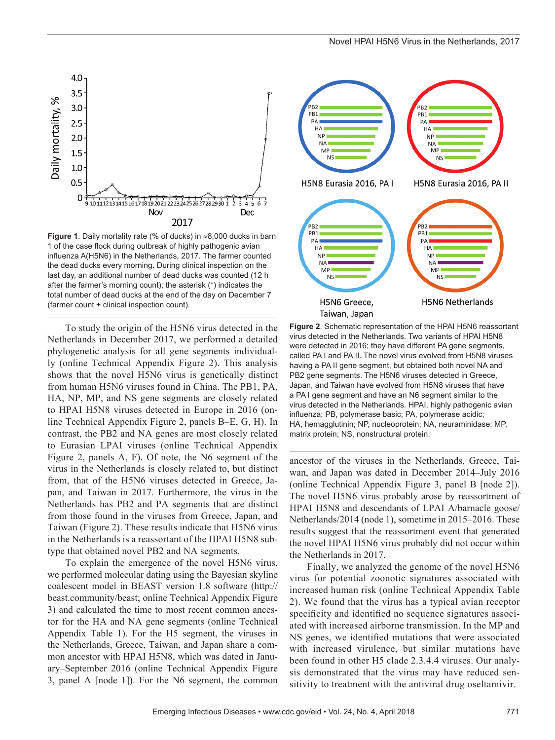

**Figure 1**. Daily mortality rate (% of ducks) in ≈8,000 ducks in barn 1 of the case flock during outbreak of highly pathogenic avian influenza A(H5N6) in the Netherlands, 2017. The farmer counted the dead ducks every morning. During clinical inspection on the last day, an additional number of dead ducks was counted (12 h after the farmer's morning count); the asterisk (\*) indicates the total number of dead ducks at the end of the day on December 7 (farmer count + clinical inspection count).

To study the origin of the H5N6 virus detected in the Netherlands in December 2017, we performed a detailed phylogenetic analysis for all gene segments individually (online Technical Appendix Figure 2). This analysis shows that the novel H5N6 virus is genetically distinct from human H5N6 viruses found in China. The PB1, PA, HA, NP, MP, and NS gene segments are closely related to HPAI H5N8 viruses detected in Europe in 2016 (online Technical Appendix Figure 2, panels B–E, G, H). In contrast, the PB2 and NA genes are most closely related to Eurasian LPAI viruses (online Technical Appendix Figure 2, panels A, F). Of note, the N6 segment of the virus in the Netherlands is closely related to, but distinct from, that of the H5N6 viruses detected in Greece, Japan, and Taiwan in 2017. Furthermore, the virus in the Netherlands has PB2 and PA segments that are distinct from those found in the viruses from Greece, Japan, and Taiwan (Figure 2). These results indicate that H5N6 virus in the Netherlands is a reassortant of the HPAI H5N8 subtype that obtained novel PB2 and NA segments.

To explain the emergence of the novel H5N6 virus, we performed molecular dating using the Bayesian skyline coalescent model in BEAST version 1.8 software (http:// beast.community/beast; online Technical Appendix Figure 3) and calculated the time to most recent common ancestor for the HA and NA gene segments (online Technical Appendix Table 1). For the H5 segment, the viruses in the Netherlands, Greece, Taiwan, and Japan share a common ancestor with HPAI H5N8, which was dated in January–September 2016 (online Technical Appendix Figure 3, panel A [node 1]). For the N6 segment, the common



**Figure 2**. Schematic representation of the HPAI H5N6 reassortant virus detected in the Netherlands. Two variants of HPAI H5N8 were detected in 2016; they have different PA gene segments, called PA I and PA II. The novel virus evolved from H5N8 viruses having a PA II gene segment, but obtained both novel NA and PB2 gene segments. The H5N6 viruses detected in Greece, Japan, and Taiwan have evolved from H5N8 viruses that have a PA I gene segment and have an N6 segment similar to the virus detected in the Netherlands. HPAI, highly pathogenic avian influenza; PB, polymerase basic; PA, polymerase acidic; HA, hemagglutinin; NP, nucleoprotein; NA, neuraminidase; MP, matrix protein; NS, nonstructural protein.

ancestor of the viruses in the Netherlands, Greece, Taiwan, and Japan was dated in December 2014–July 2016 (online Technical Appendix Figure 3, panel B [node 2]). The novel H5N6 virus probably arose by reassortment of HPAI H5N8 and descendants of LPAI A/barnacle goose/ Netherlands/2014 (node 1), sometime in 2015–2016. These results suggest that the reassortment event that generated the novel HPAI H5N6 virus probably did not occur within the Netherlands in 2017.

Finally, we analyzed the genome of the novel H5N6 virus for potential zoonotic signatures associated with increased human risk (online Technical Appendix Table 2). We found that the virus has a typical avian receptor specificity and identified no sequence signatures associated with increased airborne transmission. In the MP and NS genes, we identified mutations that were associated with increased virulence, but similar mutations have been found in other H5 clade 2.3.4.4 viruses. Our analysis demonstrated that the virus may have reduced sensitivity to treatment with the antiviral drug oseltamivir.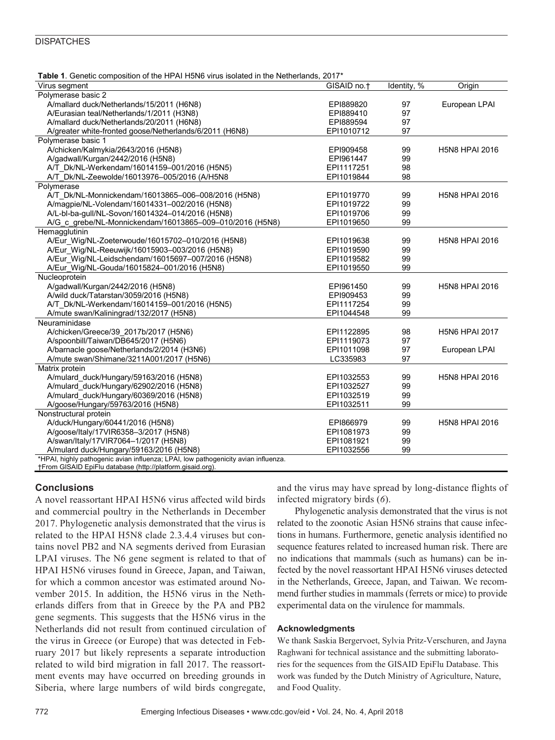#### **DISPATCHES**

| <b>Table 1.</b> Genetic composition of the HPAI H5N6 virus isolated in the Netherlands, 2017 <sup>*</sup> |                         |             |                       |
|-----------------------------------------------------------------------------------------------------------|-------------------------|-------------|-----------------------|
| Virus segment                                                                                             | GISAID no. <sup>+</sup> | Identity, % | Origin                |
| Polymerase basic 2                                                                                        |                         |             |                       |
| A/mallard duck/Netherlands/15/2011 (H6N8)                                                                 | EPI889820               | 97          | European LPAI         |
| A/Eurasian teal/Netherlands/1/2011 (H3N8)                                                                 | EPI889410               | 97          |                       |
| A/mallard duck/Netherlands/20/2011 (H6N8)                                                                 | EPI889594               | 97          |                       |
| A/greater white-fronted goose/Netherlands/6/2011 (H6N8)                                                   | EPI1010712              | 97          |                       |
| Polymerase basic 1                                                                                        |                         |             |                       |
| A/chicken/Kalmykia/2643/2016 (H5N8)                                                                       | EPI909458               | 99          | <b>H5N8 HPAI 2016</b> |
| A/gadwall/Kurgan/2442/2016 (H5N8)                                                                         | EPI961447               | 99          |                       |
| A/T Dk/NL-Werkendam/16014159-001/2016 (H5N5)                                                              | EPI1117251              | 98          |                       |
| A/T_Dk/NL-Zeewolde/16013976-005/2016 (A/H5N8                                                              | EPI1019844              | 98          |                       |
| Polymerase                                                                                                |                         |             |                       |
| A/T Dk/NL-Monnickendam/16013865-006-008/2016 (H5N8)                                                       | EPI1019770              | 99          | <b>H5N8 HPAI 2016</b> |
| A/magpie/NL-Volendam/16014331-002/2016 (H5N8)                                                             | EPI1019722              | 99          |                       |
| A/L-bl-ba-gull/NL-Sovon/16014324-014/2016 (H5N8)                                                          | EPI1019706              | 99          |                       |
| A/G c grebe/NL-Monnickendam/16013865-009-010/2016 (H5N8)                                                  | EPI1019650              | 99          |                       |
| Hemagglutinin                                                                                             |                         |             |                       |
| A/Eur Wig/NL-Zoeterwoude/16015702-010/2016 (H5N8)                                                         | EPI1019638              | 99          | <b>H5N8 HPAI 2016</b> |
| A/Eur Wig/NL-Reeuwijk/16015903-003/2016 (H5N8)                                                            | EPI1019590              | 99          |                       |
| A/Eur Wig/NL-Leidschendam/16015697-007/2016 (H5N8)                                                        | EPI1019582              | 99          |                       |
| A/Eur_Wig/NL-Gouda/16015824-001/2016 (H5N8)                                                               | EPI1019550              | 99          |                       |
| Nucleoprotein                                                                                             |                         |             |                       |
| A/gadwall/Kurgan/2442/2016 (H5N8)                                                                         | EPI961450               | 99          | <b>H5N8 HPAI 2016</b> |
| A/wild duck/Tatarstan/3059/2016 (H5N8)                                                                    | EPI909453               | 99          |                       |
| A/T Dk/NL-Werkendam/16014159-001/2016 (H5N5)                                                              | EPI1117254              | 99          |                       |
| A/mute swan/Kaliningrad/132/2017 (H5N8)                                                                   | EPI1044548              | 99          |                       |
| Neuraminidase                                                                                             |                         |             |                       |
| A/chicken/Greece/39_2017b/2017 (H5N6)                                                                     | EPI1122895              | 98          | <b>H5N6 HPAI 2017</b> |
| A/spoonbill/Taiwan/DB645/2017 (H5N6)                                                                      | EPI1119073              | 97          |                       |
| A/barnacle goose/Netherlands/2/2014 (H3N6)                                                                | EPI1011098              | 97          | European LPAI         |
| A/mute swan/Shimane/3211A001/2017 (H5N6)                                                                  | LC335983                | 97          |                       |
| Matrix protein                                                                                            |                         |             |                       |
| A/mulard duck/Hungary/59163/2016 (H5N8)                                                                   | EPI1032553              | 99          | <b>H5N8 HPAI 2016</b> |
| A/mulard duck/Hungary/62902/2016 (H5N8)                                                                   | EPI1032527              | 99          |                       |
| A/mulard duck/Hungary/60369/2016 (H5N8)                                                                   | EPI1032519              | 99          |                       |
| A/goose/Hungary/59763/2016 (H5N8)                                                                         | EPI1032511              | 99          |                       |
| Nonstructural protein                                                                                     |                         |             |                       |
| A/duck/Hungary/60441/2016 (H5N8)                                                                          | EPI866979               | 99          | H5N8 HPAI 2016        |
| A/goose/Italy/17VIR6358-3/2017 (H5N8)                                                                     | EPI1081973              | 99          |                       |
| A/swan/Italy/17VIR7064-1/2017 (H5N8)                                                                      | EPI1081921              | 99          |                       |
| A/mulard duck/Hungary/59163/2016 (H5N8)                                                                   | EPI1032556              | 99          |                       |
| *HPAI, highly pathogenic avian influenza; LPAI, low pathogenicity avian influenza.                        |                         |             |                       |
| †From GISAID EpiFlu database (http://platform.gisaid.org).                                                |                         |             |                       |

#### **Conclusions**

A novel reassortant HPAI H5N6 virus affected wild birds and commercial poultry in the Netherlands in December 2017. Phylogenetic analysis demonstrated that the virus is related to the HPAI H5N8 clade 2.3.4.4 viruses but contains novel PB2 and NA segments derived from Eurasian LPAI viruses. The N6 gene segment is related to that of HPAI H5N6 viruses found in Greece, Japan, and Taiwan, for which a common ancestor was estimated around November 2015. In addition, the H5N6 virus in the Netherlands differs from that in Greece by the PA and PB2 gene segments. This suggests that the H5N6 virus in the Netherlands did not result from continued circulation of the virus in Greece (or Europe) that was detected in February 2017 but likely represents a separate introduction related to wild bird migration in fall 2017. The reassortment events may have occurred on breeding grounds in Siberia, where large numbers of wild birds congregate,

and the virus may have spread by long-distance flights of infected migratory birds (*6*).

Phylogenetic analysis demonstrated that the virus is not related to the zoonotic Asian H5N6 strains that cause infections in humans. Furthermore, genetic analysis identified no sequence features related to increased human risk. There are no indications that mammals (such as humans) can be infected by the novel reassortant HPAI H5N6 viruses detected in the Netherlands, Greece, Japan, and Taiwan. We recommend further studies in mammals (ferrets or mice) to provide experimental data on the virulence for mammals.

#### **Acknowledgments**

We thank Saskia Bergervoet, Sylvia Pritz-Verschuren, and Jayna Raghwani for technical assistance and the submitting laboratories for the sequences from the GISAID EpiFlu Database. This work was funded by the Dutch Ministry of Agriculture, Nature, and Food Quality.